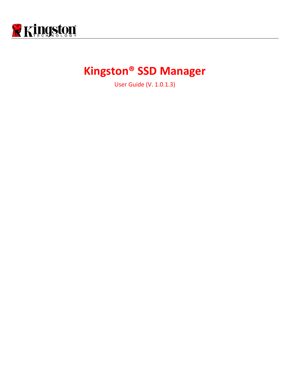

# **Kingston® SSD Manager**

User Guide (V. 1.0.1.3)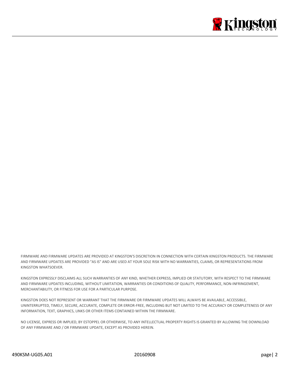

FIRMWARE AND FIRMWARE UPDATES ARE PROVIDED AT KINGSTON'S DISCRETION IN CONNECTION WITH CERTAIN KINGSTON PRODUCTS. THE FIRMWARE AND FIRMWARE UPDATES ARE PROVIDED "AS IS" AND ARE USED AT YOUR SOLE RISK WITH NO WARRANTIES, CLAIMS, OR REPRESENTATIONS FROM KINGSTON WHATSOEVER.

KINGSTON EXPRESSLY DISCLAIMS ALL SUCH WARRANTIES OF ANY KIND, WHETHER EXPRESS, IMPLIED OR STATUTORY, WITH RESPECT TO THE FIRMWARE AND FIRMWARE UPDATES INCLUDING, WITHOUT LIMITATION, WARRANTIES OR CONDITIONS OF QUALITY, PERFORMANCE, NON-INFRINGEMENT, MERCHANTABILITY, OR FITNESS FOR USE FOR A PARTICULAR PURPOSE.

KINGSTON DOES NOT REPRESENT OR WARRANT THAT THE FIRMWARE OR FIRMWARE UPDATES WILL ALWAYS BE AVAILABLE, ACCESSIBLE, UNINTERRUPTED, TIMELY, SECURE, ACCURATE, COMPLETE OR ERROR-FREE, INCLUDING BUT NOT LIMITED TO THE ACCURACY OR COMPLETENESS OF ANY INFORMATION, TEXT, GRAPHICS, LINKS OR OTHER ITEMS CONTAINED WITHIN THE FIRMWARE.

NO LICENSE, EXPRESS OR IMPLIED, BY ESTOPPEL OR OTHERWISE, TO ANY INTELLECTUAL PROPERTY RIGHTS IS GRANTED BY ALLOWING THE DOWNLOAD OF ANY FIRMWARE AND / OR FIRMWARE UPDATE, EXCEPT AS PROVIDED HEREIN.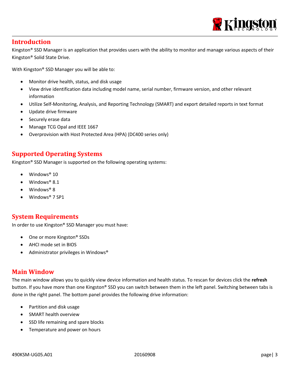

# **Introduction**

Kingston® SSD Manager is an application that provides users with the ability to monitor and manage various aspects of their Kingston® Solid State Drive.

With Kingston® SSD Manager you will be able to:

- Monitor drive health, status, and disk usage
- View drive identification data including model name, serial number, firmware version, and other relevant information
- Utilize Self-Monitoring, Analysis, and Reporting Technology (SMART) and export detailed reports in text format
- Update drive firmware
- Securely erase data
- Manage TCG Opal and IEEE 1667
- Overprovision with Host Protected Area (HPA) (DC400 series only)

## **Supported Operating Systems**

Kingston® SSD Manager is supported on the following operating systems:

- Windows<sup>®</sup> 10
- $\bullet$  Windows<sup>®</sup> 8.1
- Windows® 8
- Windows® 7 SP1

# **System Requirements**

In order to use Kingston® SSD Manager you must have:

- One or more Kingston<sup>®</sup> SSDs
- AHCI mode set in BIOS
- Administrator privileges in Windows®

### **Main Window**

The main window allows you to quickly view device information and health status. To rescan for devices click the **refresh** button. If you have more than one Kingston® SSD you can switch between them in the left panel. Switching between tabs is done in the right panel. The bottom panel provides the following drive information:

- Partition and disk usage
- SMART health overview
- SSD life remaining and spare blocks
- Temperature and power on hours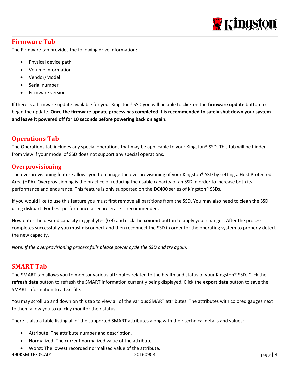

# **Firmware Tab**

The Firmware tab provides the following drive information:

- Physical device path
- Volume information
- Vendor/Model
- Serial number
- Firmware version

If there is a firmware update available for your Kingston® SSD you will be able to click on the **firmware update** button to begin the update. **Once the firmware update process has completed it is recommended to safely shut down your system and leave it powered off for 10 seconds before powering back on again.**

# **Operations Tab**

The Operations tab includes any special operations that may be applicable to your Kingston® SSD. This tab will be hidden from view if your model of SSD does not support any special operations.

### **Overprovisioning**

The overprovisioning feature allows you to manage the overprovisioning of your Kingston® SSD by setting a Host Protected Area (HPA). Overprovisioning is the practice of reducing the usable capacity of an SSD in order to increase both its performance and endurance. This feature is only supported on the **DC400** series of Kingston® SSDs.

If you would like to use this feature you must first remove all partitions from the SSD. You may also need to clean the SSD using diskpart. For best performance a secure erase is recommended.

Now enter the desired capacity in gigabytes (GB) and click the **commit** button to apply your changes. After the process completes successfully you must disconnect and then reconnect the SSD in order for the operating system to properly detect the new capacity.

*Note: If the overprovisioning process fails please power cycle the SSD and try again.*

# **SMART Tab**

The SMART tab allows you to monitor various attributes related to the health and status of your Kingston® SSD. Click the **refresh data** button to refresh the SMART information currently being displayed. Click the **export data** button to save the SMART information to a text file.

You may scroll up and down on this tab to view all of the various SMART attributes. The attributes with colored gauges next to them allow you to quickly monitor their status.

There is also a table listing all of the supported SMART attributes along with their technical details and values:

- Attribute: The attribute number and description.
- Normalized: The current normalized value of the attribute.
- 490KSM-UG05.A01 20160908 page| 4 Worst: The lowest recorded normalized value of the attribute.